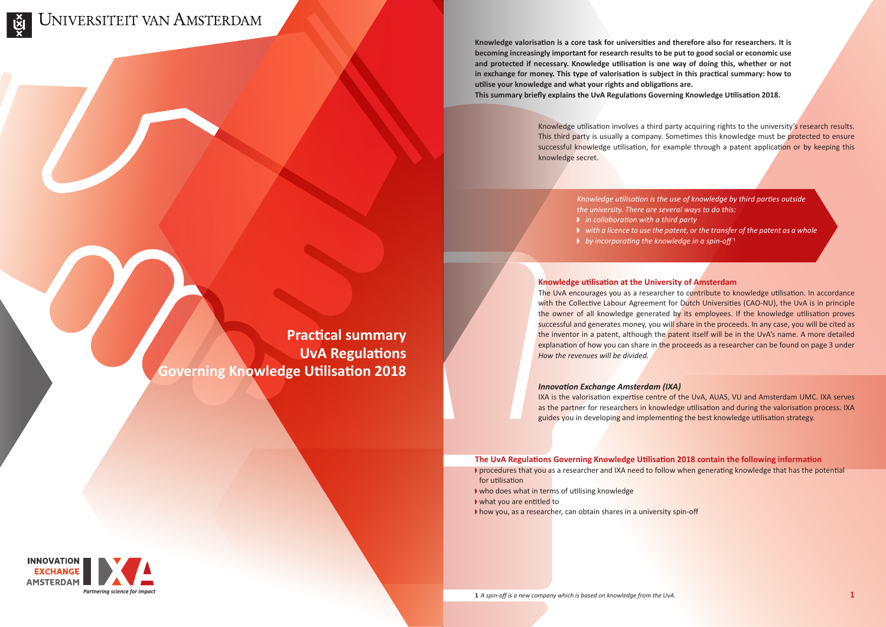

**Knowledge valorisation is a core task for universities and therefore also for researchers. It is becoming increasingly important for research results to be put to good social or economic use and protected if necessary. Knowledge utilisation is one way of doing this, whether or not in exchange for money. This type of valorisation is subject in this practical summary: how to utilise your knowledge and what your rights and obligations are. This summary briefly explains the UvA Regulations Governing Knowledge Utilisation 2018.**

# **Knowledge utilisation at the University of Amsterdam**

The UvA encourages you as a researcher to contribute to knowledge utilisation. In accordance with the Collective Labour Agreement for Dutch Universities (CAO-NU), the UvA is in principle the owner of all knowledge generated by its employees. If the knowledge utilisation proves successful and generates money, you will share in the proceeds. In any case, you will be cited as the inventor in a patent, although the patent itself will be in the UvA's name. A more detailed explanation of how you can share in the proceeds as a researcher can be found on page 3 under *How the revenues will be divided.*

# *Innovation Exchange Amsterdam (IXA)*

IXA is the valorisation expertise centre of the UvA, AUAS, VU and Amsterdam UMC. IXA serves as the partner for researchers in knowledge utilisation and during the valorisation process. IXA guides you in developing and implementing the best knowledge utilisation strategy.

Knowledge utilisation involves a third party acquiring rights to the university's research results. This third party is usually a company. Sometimes this knowledge must be protected to ensure successful knowledge utilisation, for example through a patent application or by keeping this knowledge secret.

> *Knowledge utilisation is the use of knowledge by third parties outside the university. There are several ways to do this:* x *in collaboration with a third party*  $\triangleright$  with a licence to use the patent, or the transfer of the patent as a whole x *by incorporating the knowledge in a spin-off* 1

- 
- 

# **The UvA Regulations Governing Knowledge Utilisation 2018 contain the following information**

- **P** procedures that you as a researcher and IXA need to follow when generating knowledge that has the potential for utilisation
- $\blacktriangleright$  who does what in terms of utilising knowledge
- ▶ what you are entitled to
- $\blacktriangleright$  how you, as a researcher, can obtain shares in a university spin-off

**Practical summary UvA Regulations Governing Knowledge Utilisation 2018**

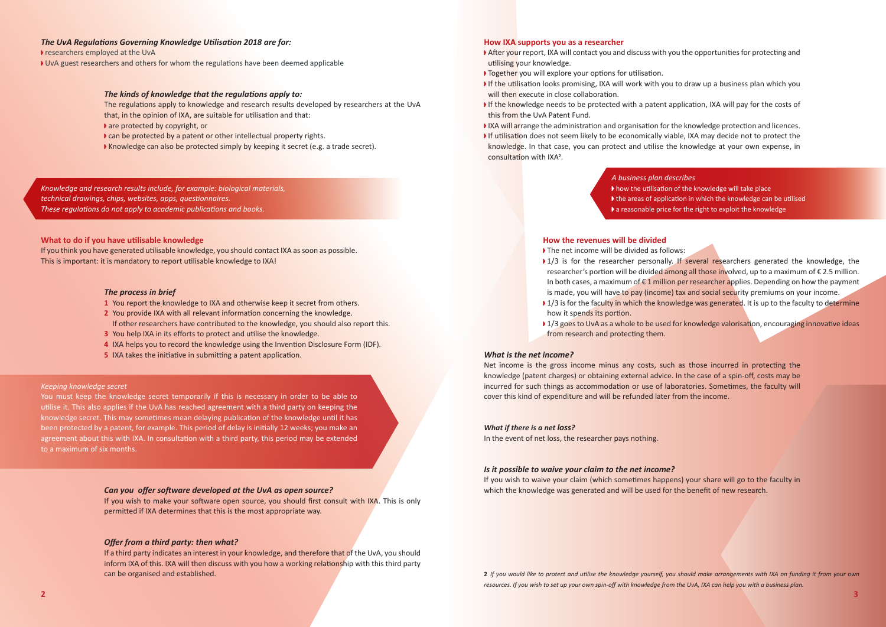*Knowledge and research results include, for example: biological materials, technical drawings, chips, websites, apps, questionnaires. These regulations do not apply to academic publications and books.*

- After your report, IXA will contact you and discuss with you the opportunities for protecting and utilising your knowledge.
- ▶ Together you will explore your options for utilisation.
- If the utilisation looks promising, IXA will work with you to draw up a business plan which you will then execute in close collaboration.
- If the knowledge needs to be protected with a patent application, IXA will pay for the costs of this from the UvA Patent Fund.
- 
- knowledge. In that case, you can protect and utilise the knowledge at your own expense, in consultation with IXA2.

# *The UvA Regulations Governing Knowledge Utilisation 2018 are for:*

researchers employed at the UvA

▶ UvA guest researchers and others for whom the regulations have been deemed applicable

# *The kinds of knowledge that the regulations apply to:*

- The net income will be divided as follows:
- 
- how it spends its portion.
- from research and protecting them.

*A business plan describes* I how the utilisation of the knowledge will take place If the areas of application in which the knowledge can be utilised  $\blacktriangleright$  a reasonable price for the right to exploit the knowledge

The regulations apply to knowledge and research results developed by researchers at the UvA that, in the opinion of IXA, are suitable for utilisation and that:

- $\blacktriangleright$  are protected by copyright, or
- $\triangleright$  can be protected by a patent or other intellectual property rights.
- Knowledge can also be protected simply by keeping it secret (e.g. a trade secret).

# **What to do if you have utilisable knowledge**

If you think you have generated utilisable knowledge, you should contact IXA as soon as possible. This is important: it is mandatory to report utilisable knowledge to IXA!

### *The process in brief*

If you wish to waive your claim (which sometimes happens) your share will go to the faculty in **Can you offer software developed at the UvA as open source?** The same of the source which the knowledge was generated and will be used for the benefit of new research.

- **1** You report the knowledge to IXA and otherwise keep it secret from others.
- **2** You provide IXA with all relevant information concerning the knowledge. If other researchers have contributed to the knowledge, you should also report this.
- **3** You help IXA in its efforts to protect and utilise the knowledge.
- **4** IXA helps you to record the knowledge using the Invention Disclosure Form (IDF).
- **5** IXA takes the initiative in submitting a patent application.

### **How IXA supports you as a researcher**

# **How the revenues will be divided**

### *Keeping knowledge secret*

You must keep the knowledge secret temporarily if this is necessary in order to be able to utilise it. This also applies if the UvA has reached agreement with a third party on keeping the knowledge secret. This may sometimes mean delaying publication of the knowledge until it has been protected by a patent, for example. This period of delay is initially 12 weeks; you make an agreement about this with IXA. In consultation with a third party, this period may be extended to a maximum of six months.

### *What is the net income?*

Net income is the gross income minus any costs, such as those incurred in protecting the knowledge (patent charges) or obtaining external advice. In the case of a spin-off, costs may be incurred for such things as accommodation or use of laboratories. Sometimes, the faculty will cover this kind of expenditure and will be refunded later from the income.

### *What if there is a net loss?*

In the event of net loss, the researcher pays nothing.

### *Is it possible to waive your claim to the net income?*

If you wish to make your software open source, you should first consult with IXA. This is only permitted if IXA determines that this is the most appropriate way.

### *Offer from a third party: then what?*

If a third party indicates an interest in your knowledge, and therefore that of the UvA, you should inform IXA of this. IXA will then discuss with you how a working relationship with this third party can be organised and established. **2** *If you would like to protect and utilise the knowledge yourself, you should make arrangements with IXA on funding it from your own* 

IXA will arrange the administration and organisation for the knowledge protection and licences. If utilisation does not seem likely to be economically viable, IXA may decide not to protect the

 $\blacktriangleright$  1/3 is for the researcher personally. If several researchers generated the knowledge, the researcher's portion will be divided among all those involved, up to a maximum of  $\epsilon$  2.5 million. In both cases, a maximum of  $\epsilon$  1 million per researcher applies. Depending on how the payment is made, you will have to pay (income) tax and social security premiums on your income. ▶ 1/3 is for the faculty in which the knowledge was generated. It is up to the faculty to determine

▶ 1/3 goes to UvA as a whole to be used for knowledge valorisation, encouraging innovative ideas